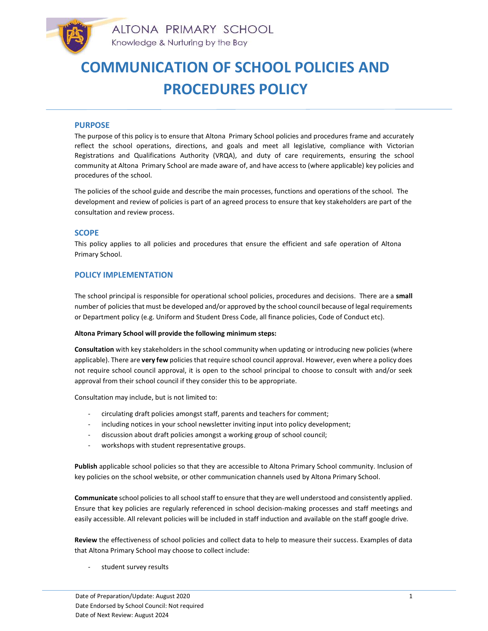

# PURPOSE

The purpose of this policy is to ensure that Altona Primary School policies and procedures frame and accurately reflect the school operations, directions, and goals and meet all legislative, compliance with Victorian Registrations and Qualifications Authority (VRQA), and duty of care requirements, ensuring the school community at Altona Primary School are made aware of, and have access to (where applicable) key policies and procedures of the school.

The policies of the school guide and describe the main processes, functions and operations of the school. The development and review of policies is part of an agreed process to ensure that key stakeholders are part of the consultation and review process.

# **SCOPE**

This policy applies to all policies and procedures that ensure the efficient and safe operation of Altona Primary School.

# POLICY IMPLEMENTATION

The school principal is responsible for operational school policies, procedures and decisions. There are a small number of policies that must be developed and/or approved by the school council because of legal requirements or Department policy (e.g. Uniform and Student Dress Code, all finance policies, Code of Conduct etc).

### Altona Primary School will provide the following minimum steps:

Consultation with key stakeholders in the school community when updating or introducing new policies (where applicable). There are very few policies that require school council approval. However, even where a policy does not require school council approval, it is open to the school principal to choose to consult with and/or seek approval from their school council if they consider this to be appropriate.

Consultation may include, but is not limited to:

- circulating draft policies amongst staff, parents and teachers for comment;
- including notices in your school newsletter inviting input into policy development;
- discussion about draft policies amongst a working group of school council;
- workshops with student representative groups.

Publish applicable school policies so that they are accessible to Altona Primary School community. Inclusion of key policies on the school website, or other communication channels used by Altona Primary School.

Communicate school policies to all school staff to ensure that they are well understood and consistently applied. Ensure that key policies are regularly referenced in school decision-making processes and staff meetings and easily accessible. All relevant policies will be included in staff induction and available on the staff google drive.

Review the effectiveness of school policies and collect data to help to measure their success. Examples of data that Altona Primary School may choose to collect include:

student survey results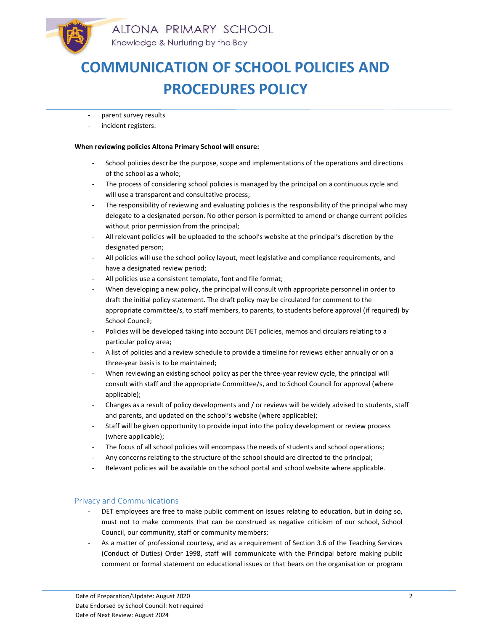- parent survey results
- incident registers.

#### When reviewing policies Altona Primary School will ensure:

- School policies describe the purpose, scope and implementations of the operations and directions of the school as a whole;
- The process of considering school policies is managed by the principal on a continuous cycle and will use a transparent and consultative process;
- The responsibility of reviewing and evaluating policies is the responsibility of the principal who may delegate to a designated person. No other person is permitted to amend or change current policies without prior permission from the principal;
- All relevant policies will be uploaded to the school's website at the principal's discretion by the designated person;
- All policies will use the school policy layout, meet legislative and compliance requirements, and have a designated review period;
- All policies use a consistent template, font and file format;
- When developing a new policy, the principal will consult with appropriate personnel in order to draft the initial policy statement. The draft policy may be circulated for comment to the appropriate committee/s, to staff members, to parents, to students before approval (if required) by School Council;
- Policies will be developed taking into account DET policies, memos and circulars relating to a particular policy area;
- A list of policies and a review schedule to provide a timeline for reviews either annually or on a three-year basis is to be maintained;
- When reviewing an existing school policy as per the three-year review cycle, the principal will consult with staff and the appropriate Committee/s, and to School Council for approval (where applicable);
- Changes as a result of policy developments and / or reviews will be widely advised to students, staff and parents, and updated on the school's website (where applicable);
- Staff will be given opportunity to provide input into the policy development or review process (where applicable);
- The focus of all school policies will encompass the needs of students and school operations;
- Any concerns relating to the structure of the school should are directed to the principal;
- Relevant policies will be available on the school portal and school website where applicable.

# Privacy and Communications

- DET employees are free to make public comment on issues relating to education, but in doing so, must not to make comments that can be construed as negative criticism of our school, School Council, our community, staff or community members;
- As a matter of professional courtesy, and as a requirement of Section 3.6 of the Teaching Services (Conduct of Duties) Order 1998, staff will communicate with the Principal before making public comment or formal statement on educational issues or that bears on the organisation or program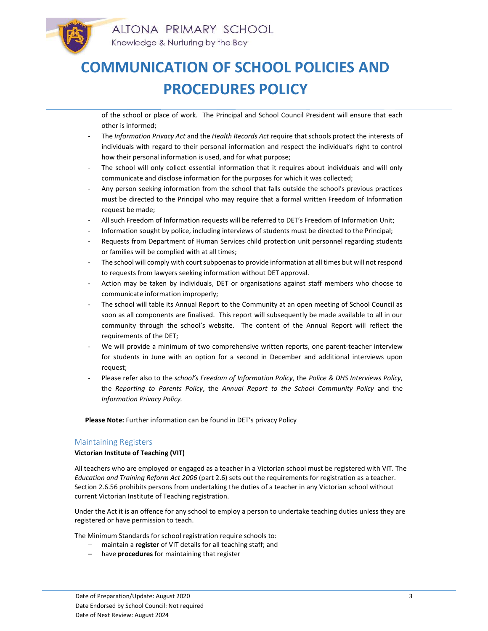of the school or place of work. The Principal and School Council President will ensure that each other is informed;

- The Information Privacy Act and the Health Records Act require that schools protect the interests of individuals with regard to their personal information and respect the individual's right to control how their personal information is used, and for what purpose;
- The school will only collect essential information that it requires about individuals and will only communicate and disclose information for the purposes for which it was collected;
- Any person seeking information from the school that falls outside the school's previous practices must be directed to the Principal who may require that a formal written Freedom of Information request be made;
- All such Freedom of Information requests will be referred to DET's Freedom of Information Unit;
- Information sought by police, including interviews of students must be directed to the Principal;
- Requests from Department of Human Services child protection unit personnel regarding students or families will be complied with at all times;
- The school will comply with court subpoenas to provide information at all times but will not respond to requests from lawyers seeking information without DET approval.
- Action may be taken by individuals, DET or organisations against staff members who choose to communicate information improperly;
- The school will table its Annual Report to the Community at an open meeting of School Council as soon as all components are finalised. This report will subsequently be made available to all in our community through the school's website. The content of the Annual Report will reflect the requirements of the DET;
- We will provide a minimum of two comprehensive written reports, one parent-teacher interview for students in June with an option for a second in December and additional interviews upon request;
- Please refer also to the school's Freedom of Information Policy, the Police & DHS Interviews Policy, the Reporting to Parents Policy, the Annual Report to the School Community Policy and the Information Privacy Policy.

Please Note: Further information can be found in DET's privacy Policy

# Maintaining Registers

### Victorian Institute of Teaching (VIT)

All teachers who are employed or engaged as a teacher in a Victorian school must be registered with VIT. The Education and Training Reform Act 2006 (part 2.6) sets out the requirements for registration as a teacher. Section 2.6.56 prohibits persons from undertaking the duties of a teacher in any Victorian school without current Victorian Institute of Teaching registration.

Under the Act it is an offence for any school to employ a person to undertake teaching duties unless they are registered or have permission to teach.

The Minimum Standards for school registration require schools to:

- maintain a register of VIT details for all teaching staff; and
- have procedures for maintaining that register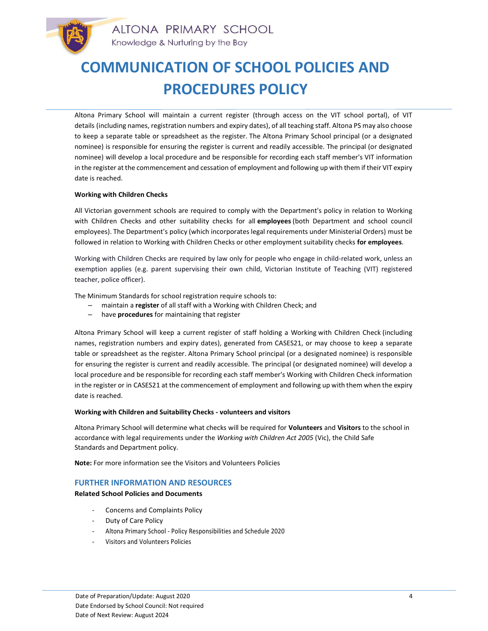Altona Primary School will maintain a current register (through access on the VIT school portal), of VIT details (including names, registration numbers and expiry dates), of all teaching staff. Altona PS may also choose to keep a separate table or spreadsheet as the register. The Altona Primary School principal (or a designated nominee) is responsible for ensuring the register is current and readily accessible. The principal (or designated nominee) will develop a local procedure and be responsible for recording each staff member's VIT information in the register at the commencement and cessation of employment and following up with them if their VIT expiry date is reached.

### Working with Children Checks

All Victorian government schools are required to comply with the Department's policy in relation to Working with Children Checks and other suitability checks for all employees (both Department and school council employees). The Department's policy (which incorporates legal requirements under Ministerial Orders) must be followed in relation to Working with Children Checks or other employment suitability checks for employees.

Working with Children Checks are required by law only for people who engage in child-related work, unless an exemption applies (e.g. parent supervising their own child, Victorian Institute of Teaching (VIT) registered teacher, police officer).

The Minimum Standards for school registration require schools to:

- maintain a register of all staff with a Working with Children Check; and
- have procedures for maintaining that register

Altona Primary School will keep a current register of staff holding a Working with Children Check (including names, registration numbers and expiry dates), generated from CASES21, or may choose to keep a separate table or spreadsheet as the register. Altona Primary School principal (or a designated nominee) is responsible for ensuring the register is current and readily accessible. The principal (or designated nominee) will develop a local procedure and be responsible for recording each staff member's Working with Children Check information in the register or in CASES21 at the commencement of employment and following up with them when the expiry date is reached.

### Working with Children and Suitability Checks - volunteers and visitors

Altona Primary School will determine what checks will be required for Volunteers and Visitors to the school in accordance with legal requirements under the Working with Children Act 2005 (Vic), the Child Safe Standards and Department policy.

Note: For more information see the Visitors and Volunteers Policies

# FURTHER INFORMATION AND RESOURCES

Related School Policies and Documents

- Concerns and Complaints Policy
- Duty of Care Policy
- Altona Primary School Policy Responsibilities and Schedule 2020
- Visitors and Volunteers Policies